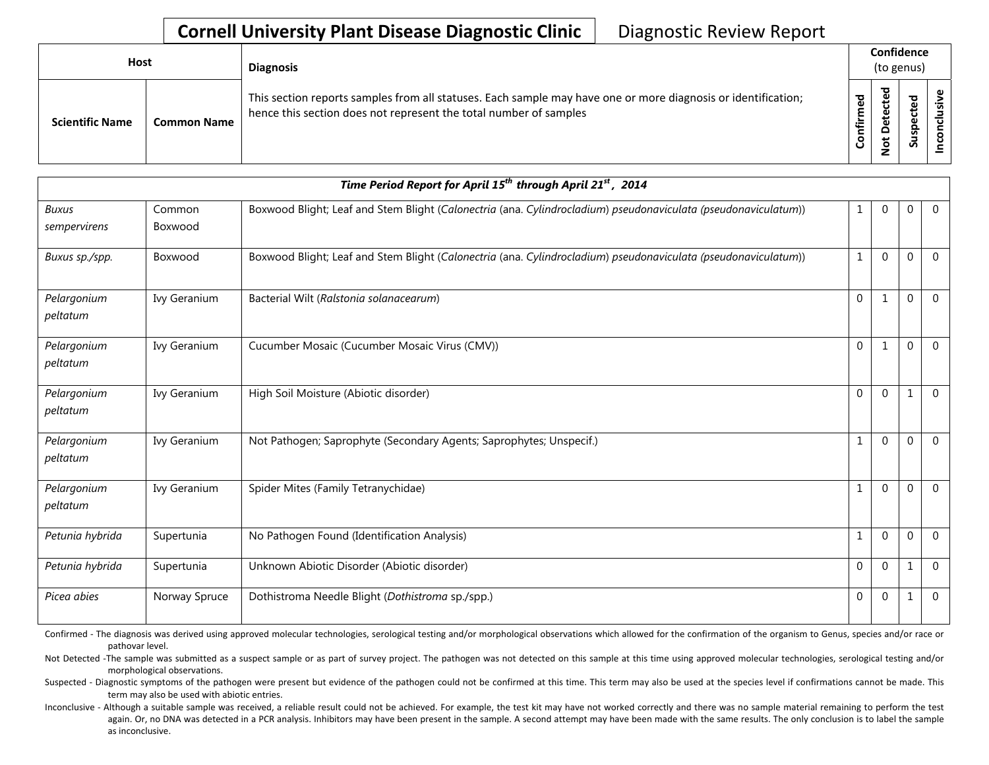## **Cornell University Plant Disease Diagnostic Clinic** | Diagnostic Review Report

| Host                   |                    | <b>Diagnosis</b>                                                                                                                                                                   | Confidence<br>(to genus) |                                |                                |  |
|------------------------|--------------------|------------------------------------------------------------------------------------------------------------------------------------------------------------------------------------|--------------------------|--------------------------------|--------------------------------|--|
| <b>Scientific Name</b> | <b>Common Name</b> | This section reports samples from all statuses. Each sample may have one or more diagnosis or identification;<br>hence this section does not represent the total number of samples | ဥ္မ<br>Ē<br>Confir       | ठ<br>cte<br>etē<br>۵<br>ى<br>؋ | ਠ<br>ஂ<br>ပ<br>ω<br>င်္ဘ<br>ಀಁ |  |

| Time Period Report for April 15 <sup>th</sup> through April 21 <sup>st</sup> , 2014 |                   |                                                                                                                |                  |              |              |                |  |
|-------------------------------------------------------------------------------------|-------------------|----------------------------------------------------------------------------------------------------------------|------------------|--------------|--------------|----------------|--|
| <b>Buxus</b><br>sempervirens                                                        | Common<br>Boxwood | Boxwood Blight; Leaf and Stem Blight (Calonectria (ana. Cylindrocladium) pseudonaviculata (pseudonaviculatum)) | 1                | $\mathbf{0}$ | $\mathbf 0$  | $\overline{0}$ |  |
| Buxus sp./spp.                                                                      | Boxwood           | Boxwood Blight; Leaf and Stem Blight (Calonectria (ana. Cylindrocladium) pseudonaviculata (pseudonaviculatum)) | $\mathbf{1}$     | $\Omega$     | $\Omega$     | $\overline{0}$ |  |
| Pelargonium<br>peltatum                                                             | Ivy Geranium      | Bacterial Wilt (Ralstonia solanacearum)                                                                        | $\mathbf 0$      |              | $\mathbf 0$  | $\overline{0}$ |  |
| Pelargonium<br>peltatum                                                             | Ivy Geranium      | Cucumber Mosaic (Cucumber Mosaic Virus (CMV))                                                                  | $\mathbf 0$      | 1            | $\mathbf 0$  | $\overline{0}$ |  |
| Pelargonium<br>peltatum                                                             | Ivy Geranium      | High Soil Moisture (Abiotic disorder)                                                                          | $\mathbf{0}$     | $\Omega$     | $\mathbf{1}$ | $\overline{0}$ |  |
| Pelargonium<br>peltatum                                                             | Ivy Geranium      | Not Pathogen; Saprophyte (Secondary Agents; Saprophytes; Unspecif.)                                            | $1\,$            | $\Omega$     | $\mathbf 0$  | $\overline{0}$ |  |
| Pelargonium<br>peltatum                                                             | Ivy Geranium      | Spider Mites (Family Tetranychidae)                                                                            | $\mathbf{1}$     | $\Omega$     | $\mathbf 0$  | $\overline{0}$ |  |
| Petunia hybrida                                                                     | Supertunia        | No Pathogen Found (Identification Analysis)                                                                    | $\mathbf{1}$     | $\Omega$     | $\mathbf{0}$ | $\overline{0}$ |  |
| Petunia hybrida                                                                     | Supertunia        | Unknown Abiotic Disorder (Abiotic disorder)                                                                    | $\boldsymbol{0}$ | $\mathbf{0}$ | $\mathbf{1}$ | $\mathbf 0$    |  |
| Picea abies                                                                         | Norway Spruce     | Dothistroma Needle Blight (Dothistroma sp./spp.)                                                               | 0                | $\Omega$     | $\mathbf{1}$ | $\overline{0}$ |  |

Confirmed - The diagnosis was derived using approved molecular technologies, serological testing and/or morphological observations which allowed for the confirmation of the organism to Genus, species and/or race or pathovar level.

Not Detected -The sample was submitted as a suspect sample or as part of survey project. The pathogen was not detected on this sample at this time using approved molecular technologies, serological testing and/or morphological observations.

Suspected - Diagnostic symptoms of the pathogen were present but evidence of the pathogen could not be confirmed at this time. This term may also be used at the species level if confirmations cannot be made. This term may also be used with abiotic entries.

Inconclusive - Although a suitable sample was received, a reliable result could not be achieved. For example, the test kit may have not worked correctly and there was no sample material remaining to perform the test again. Or, no DNA was detected in a PCR analysis. Inhibitors may have been present in the sample. A second attempt may have been made with the same results. The only conclusion is to label the sample as inconclusive.